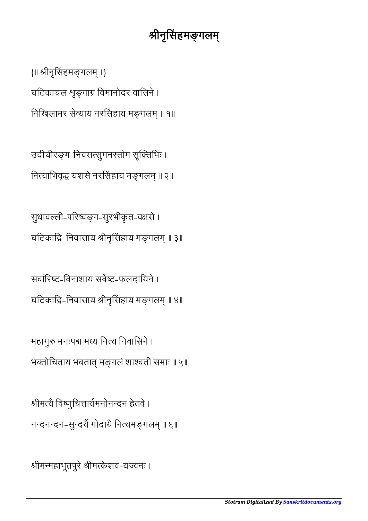## श्रीनृसिंहमङ्गलम्

{॥ ीनृसहमगल ॥} घटिकाचल श्रृङगाग्र विमानोदर वासिने । निखिलामर सेव्याय नरसिंहाय मङ्गलम् ॥ १॥

उदीचीरङ्ग-निवसत्सुमनस्तोम सूक्तिभिः । नित्याभिवृद्ध यशसे नरसिंहाय मङ्गलम् ॥ २॥

सुधावल्ली-परिष्वङ्ग-सुरभीकृत-वक्षसे । घटिकाद्रि-निवासाय श्रीनृसिंहाय मङ्गलम् ॥ ३॥

सर्वारिष्ट-विनाशाय सर्वेष्ट-फलदायिने । घटिकाद्रि-निवासाय श्रीनृसिंहाय मङ्गलम् ॥ ४॥

महागुरु मनःपद्म मध्य नित्य निवासिने । भक्तोचिताय भवतात मङ्गलं शाश्वती समाः ॥ ५॥

श्रीमत्यै विष्णुचित्तार्यमनोनन्दन हेतवे । नन्दनन्दन-सुन्दर्यै गोदायै नित्यमङ्गलम् ॥ ६॥

श्रीमन्महाभूतपुरे श्रीमत्केशव-यज्वनः ।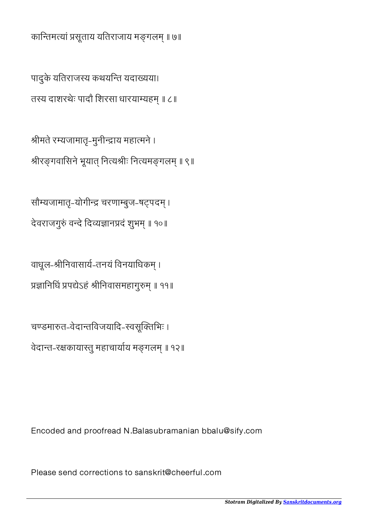*Stotram Digitalized By [Sanskritdocuments.org](http://sanskritdocuments.org/)*

Please send corrections to sanskrit@cheerful.com

Encoded and proofread N.Balasubramanian bbalu@sify.com

चण्डमारुत-वेदान्तविजयादि-स्वसूक्तिभिः । वेदान्त-रक्षकायास्तु महाचार्याय मङ्गलम् ॥ १२॥

वाधूल-श्रीनिवासार्य-तनयं विनयाधिकम् । प्रज्ञानिधिं प्रपद्येऽहं श्रीनिवासमहागुरुम् ॥ ११॥

देवराजगुरुं वन्दे दिव्यज्ञानप्रदं शुभम् ॥ १०॥

सौम्यजामातृ-योगीन्द्र चरणाम्बुज-षट्पदम् ।

श्रीमते रम्यजामातृ-मुनीन्द्राय महात्मने । श्रीरङ्गवासिने भूयात् नित्यश्रीः नित्यमङ्गलम् ॥ ९॥

पादुके यतिराजस्य कथयन्ति यदाख्यया। तस्य दाशरथेः पादौ शिरसा धारयाम्यहम् ॥ ८॥

कान्तिमत्यां प्रसूताय यतिराजाय मङ्गलम् ॥ ७॥